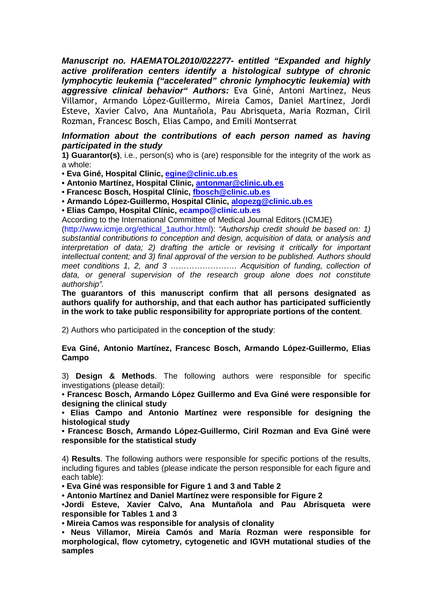**Manuscript no. HAEMATOL2010/022277- entitled "Expanded and highly active proliferation centers identify a histological subtype of chronic lymphocytic leukemia ("accelerated" chronic lymphocytic leukemia) with aggressive clinical behavior" Authors:** Eva Giné, Antoni Martinez, Neus Villamor, Armando López-Guillermo, Mireia Camos, Daniel Martinez, Jordi Esteve, Xavier Calvo, Ana Muntañola, Pau Abrisqueta, Maria Rozman, Ciril Rozman, Francesc Bosch, Elias Campo, and Emili Montserrat

## **Information about the contributions of each person named as having participated in the study**

**1) Guarantor(s)**, i.e., person(s) who is (are) responsible for the integrity of the work as a whole:

• **Eva Giné, Hospital Clinic, egine@clinic.ub.es**

**• Antonio Martínez, Hospital Clinic, antonmar@clinic.ub.es**

• **Francesc Bosch, Hospital Clínic, fbosch@clinic.ub.es**

• **Armando López-Guillermo, Hospital Clinic, alopezg@clinic.ub.es**

• **Elias Campo, Hospital Clínic, ecampo@clinic.ub.es**

According to the International Committee of Medical Journal Editors (ICMJE)

(http://www.icmje.org/ethical 1author.html): "Authorship credit should be based on: 1) substantial contributions to conception and design, acquisition of data, or analysis and interpretation of data; 2) drafting the article or revising it critically for important intellectual content; and 3) final approval of the version to be published. Authors should meet conditions 1, 2, and 3 ............................. Acquisition of funding, collection of data, or general supervision of the research group alone does not constitute authorship".

**The guarantors of this manuscript confirm that all persons designated as authors qualify for authorship, and that each author has participated sufficiently in the work to take public responsibility for appropriate portions of the content**.

2) Authors who participated in the **conception of the study**:

**Eva Giné, Antonio Martínez, Francesc Bosch, Armando López-Guillermo, Elias Campo** 

3) **Design & Methods**. The following authors were responsible for specific investigations (please detail):

• **Francesc Bosch, Armando López Guillermo and Eva Giné were responsible for designing the clinical study** 

• **Elias Campo and Antonio Martínez were responsible for designing the histological study** 

• **Francesc Bosch, Armando López-Guillermo, Ciril Rozman and Eva Giné were responsible for the statistical study** 

4) **Results**. The following authors were responsible for specific portions of the results, including figures and tables (please indicate the person responsible for each figure and each table):

• **Eva Giné was responsible for Figure 1 and 3 and Table 2** 

• **Antonio Martínez and Daniel Martínez were responsible for Figure 2**

•**Jordi Esteve, Xavier Calvo, Ana Muntañola and Pau Abrisqueta were responsible for Tables 1 and 3** 

• **Mireia Camos was responsible for analysis of clonality** 

• **Neus Villamor, Mireia Camós and María Rozman were responsible for morphological, flow cytometry, cytogenetic and IGVH mutational studies of the samples**